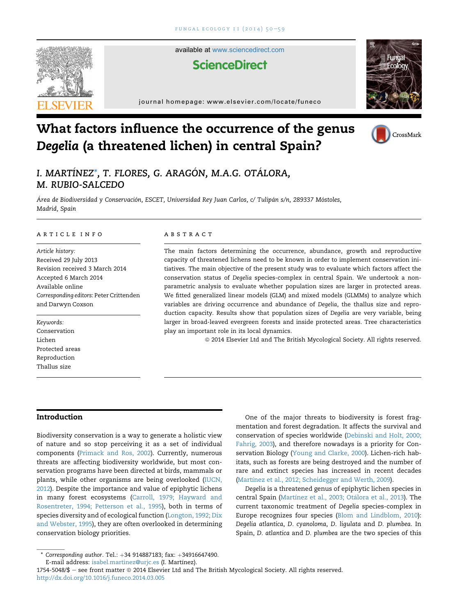

available at [www.sciencedirect.com](www.sciencedirect.com/science/journal/17545048)

# **ScienceDirect**

 $j$ ornal homepage: [www.elsevier.com/locate/funeco](http://www.elsevier.com/locate/funeco)m/locate/funecom/locate/funecom/locate/funecom/locate/funecom/locate/funecom/locate/funecom/locate/funecom/locate/funecom/locate/funecom/locate/funecom/locate/funecom/locat

# What factors influence the occurrence of the genus Degelia (a threatened lichen) in central Spain?





I. MARTÍNEZ\*, T. FLORES, G. ARAGÓN, M.A.G. OTÁLORA, M. RUBIO-SALCEDO

Área de Biodiversidad y Conservación, ESCET, Universidad Rey Juan Carlos, c/ Tulipán s/n, 289337 Móstoles, Madrid, Spain

#### article info

Article history: Received 29 July 2013 Revision received 3 March 2014 Accepted 6 March 2014 Available online Corresponding editors: Peter Crittenden and Darwyn Coxson

Keywords: Conservation Lichen Protected areas Reproduction Thallus size

### abstract

The main factors determining the occurrence, abundance, growth and reproductive capacity of threatened lichens need to be known in order to implement conservation initiatives. The main objective of the present study was to evaluate which factors affect the conservation status of Degelia species-complex in central Spain. We undertook a nonparametric analysis to evaluate whether population sizes are larger in protected areas. We fitted generalized linear models (GLM) and mixed models (GLMMs) to analyze which variables are driving occurrence and abundance of Degelia, the thallus size and reproduction capacity. Results show that population sizes of Degelia are very variable, being larger in broad-leaved evergreen forests and inside protected areas. Tree characteristics play an important role in its local dynamics.

ª 2014 Elsevier Ltd and The British Mycological Society. All rights reserved.

## Introduction

Biodiversity conservation is a way to generate a holistic view of nature and so stop perceiving it as a set of individual components [\(Primack and Ros, 2002](#page-9-0)). Currently, numerous threats are affecting biodiversity worldwide, but most conservation programs have been directed at birds, mammals or plants, while other organisms are being overlooked ([IUCN,](#page-8-0) [2012\)](#page-8-0). Despite the importance and value of epiphytic lichens in many forest ecosystems ([Carroll, 1979; Hayward and](#page-8-0) [Rosentreter, 1994; Petterson et al., 1995\)](#page-8-0), both in terms of species diversity and of ecological function ([Longton, 1992; Dix](#page-8-0) [and Webster, 1995\)](#page-8-0), they are often overlooked in determining conservation biology priorities.

One of the major threats to biodiversity is forest fragmentation and forest degradation. It affects the survival and conservation of species worldwide ([Debinski and Holt, 2000;](#page-8-0) [Fahrig, 2003\)](#page-8-0), and therefore nowadays is a priority for Conservation Biology [\(Young and Clarke, 2000\)](#page-9-0). Lichen-rich habitats, such as forests are being destroyed and the number of rare and extinct species has increased in recent decades ([Mart](#page-8-0)í[nez et al., 2012; Scheidegger and Werth, 2009](#page-8-0)).

Degelia is a threatened genus of epiphytic lichen species in central Spain ([Mart](#page-8-0)í[nez et al., 2003; Ot](#page-8-0)á[lora et al., 2013](#page-8-0)). The current taxonomic treatment of Degelia species-complex in Europe recognizes four species [\(Blom and Lindblom, 2010\)](#page-8-0): Degelia atlantica, D. cyanoloma, D. ligulata and D. plumbea. In Spain, D. atlantica and D. plumbea are the two species of this

1754-5048/\$ - see front matter @ 2014 Elsevier Ltd and The British Mycological Society. All rights reserved. <http://dx.doi.org/10.1016/j.funeco.2014.03.005>

 $*$  Corresponding author. Tel.:  $+34$  914887183; fax:  $+34916647490$ . E-mail address: [isabel.martinez@urjc.es](mailto:isabel.martinez@urjc.es) (I. Martínez).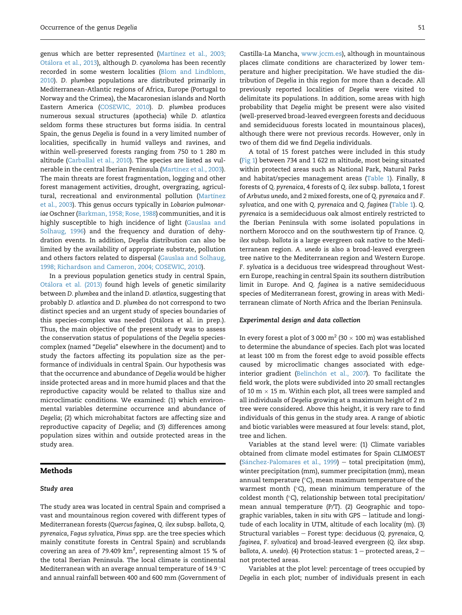genus which are better represented ([Mart](#page-8-0)í[nez et al., 2003;](#page-8-0) [Ot](#page-8-0)á[lora et al., 2013](#page-8-0)), although D. cyanoloma has been recently recorded in some western localities [\(Blom and Lindblom,](#page-8-0) [2010](#page-8-0)). D. plumbea populations are distributed primarily in Mediterranean-Atlantic regions of Africa, Europe (Portugal to Norway and the Crimea), the Macaronesian islands and North Eastern America [\(COSEWIC, 2010\)](#page-8-0). D. plumbea produces numerous sexual structures (apothecia) while D. atlantica seldom forms these structures but forms isidia. In central Spain, the genus Degelia is found in a very limited number of localities, specifically in humid valleys and ravines, and within well-preserved forests ranging from 750 to 1 280 m altitude [\(Carballal et al., 2010\)](#page-8-0). The species are listed as vul-nerable in the central Iberian Peninsula ([Mart](#page-8-0)í[nez et al., 2003](#page-8-0)). The main threats are forest fragmentation, logging and other forest management activities, drought, overgrazing, agricul-tural, recreational and environmental pollution [\(Mart](#page-8-0)í[nez](#page-8-0) [et al., 2003](#page-8-0)). This genus occurs typically in Lobarion pulmonariae Oschner ([Barkman, 1958; Rose, 1988](#page-8-0)) communities, and it is highly susceptible to high incidence of light ([Gauslaa and](#page-8-0) [Solhaug, 1996\)](#page-8-0) and the frequency and duration of dehydration events. In addition, Degelia distribution can also be limited by the availability of appropriate substrate, pollution and others factors related to dispersal [\(Gauslaa and Solhaug,](#page-8-0) [1998; Richardson and Cameron, 2004; COSEWIC, 2010\)](#page-8-0).

In a previous population genetics study in central Spain, [Otalora et al. \(2013\)](#page-8-0) found high levels of genetic similarity between D. plumbea and the inland D. atlantica, suggesting that probably D. atlantica and D. plumbea do not correspond to two distinct species and an urgent study of species boundaries of this species-complex was needed (Otálora et al. in prep.). Thus, the main objective of the present study was to assess the conservation status of populations of the Degelia speciescomplex (named "Degelia" elsewhere in the document) and to study the factors affecting its population size as the performance of individuals in central Spain. Our hypothesis was that the occurrence and abundance of Degelia would be higher inside protected areas and in more humid places and that the reproductive capacity would be related to thallus size and microclimatic conditions. We examined: (1) which environmental variables determine occurrence and abundance of Degelia; (2) which microhabitat factors are affecting size and reproductive capacity of Degelia; and (3) differences among population sizes within and outside protected areas in the study area.

# Methods

#### Study area

The study area was located in central Spain and comprised a vast and mountainous region covered with different types of Mediterranean forests (Quercus faginea, Q. ilex subsp. ballota, Q. pyrenaica, Fagus sylvatica, Pinus spp. are the tree species which mainly constitute forests in Central Spain) and scrublands covering an area of 79.409 km $^2$ , representing almost 15 % of the total Iberian Peninsula. The local climate is continental Mediterranean with an average annual temperature of 14.9  $^{\circ} \mathrm{C}$ and annual rainfall between 400 and 600 mm (Government of Castilla-La Mancha, [www.jccm.es\)](http://www.jccm.es), although in mountainous places climate conditions are characterized by lower temperature and higher precipitation. We have studied the dis-

tribution of Degelia in this region for more than a decade. All previously reported localities of Degelia were visited to delimitate its populations. In addition, some areas with high probability that Degelia might be present were also visited (well-preserved broad-leaved evergreen forests and deciduous and semideciduous forests located in mountainous places), although there were not previous records. However, only in two of them did we find Degelia individuals.

A total of 15 forest patches were included in this study [\(Fig 1](#page-2-0)) between 734 and 1 622 m altitude, most being situated within protected areas such as National Park, Natural Parks and habitat/species management areas [\(Table 1\)](#page-3-0). Finally, 8 forests of Q. pyrenaica, 4 forests of Q. ilex subsp. ballota, 1 forest of Arbutus unedo, and 2 mixed forests, one of Q. pyrenaica and F. sylvatica, and one with Q. pyrenaica and Q. faginea ([Table 1](#page-3-0)). Q. pyrenaica is a semideciduous oak almost entirely restricted to the Iberian Peninsula with some isolated populations in northern Morocco and on the southwestern tip of France. Q. ilex subsp. ballota is a large evergreen oak native to the Mediterranean region. A. unedo is also a broad-leaved evergreen tree native to the Mediterranean region and Western Europe. F. sylvatica is a deciduous tree widespread throughout Western Europe, reaching in central Spain its southern distribution limit in Europe. And Q. faginea is a native semideciduous species of Mediterranean forest, growing in areas with Mediterranean climate of North Africa and the Iberian Peninsula.

#### Experimental design and data collection

In every forest a plot of 3 000  $m^2$  (30  $\times$  100 m) was established to determine the abundance of species. Each plot was located at least 100 m from the forest edge to avoid possible effects caused by microclimatic changes associated with edgeinterior gradient (Belinchón et al., 2007). To facilitate the field work, the plots were subdivided into 20 small rectangles of 10  $m \times$  15 m. Within each plot, all trees were sampled and all individuals of Degelia growing at a maximum height of 2 m tree were considered. Above this height, it is very rare to find individuals of this genus in the study area. A range of abiotic and biotic variables were measured at four levels: stand, plot, tree and lichen.

Variables at the stand level were: (1) Climate variables obtained from climate model estimates for Spain CLIMOEST [\(S](#page-9-0)á[nchez-Palomares et al., 1999](#page-9-0)) - total precipitation (mm), winter precipitation (mm), summer precipitation (mm), mean annual temperature (°C), mean maximum temperature of the warmest month ( $^{\circ}$ C), mean minimum temperature of the coldest month (°C), relationship between total precipitation/ mean annual temperature (P/T). (2) Geographic and topographic variables, taken in situ with GPS  $-$  latitude and longitude of each locality in UTM, altitude of each locality (m). (3) Structural variables - Forest type: deciduous (Q. pyrenaica, Q. faginea, F. sylvatica) and broad-leaved evergreen (Q. ilex sbsp. ballota, A. unedo). (4) Protection status:  $1$  – protected areas,  $2$  – not protected areas.

Variables at the plot level: percentage of trees occupied by Degelia in each plot; number of individuals present in each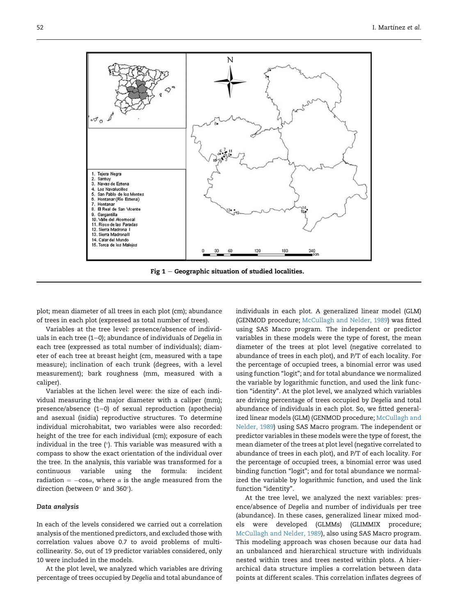<span id="page-2-0"></span>

Fig  $1$  – Geographic situation of studied localities.

plot; mean diameter of all trees in each plot (cm); abundance of trees in each plot (expressed as total number of trees).

Variables at the tree level: presence/absence of individuals in each tree  $(1-0)$ ; abundance of individuals of Degelia in each tree (expressed as total number of individuals); diameter of each tree at breast height (cm, measured with a tape measure); inclination of each trunk (degrees, with a level measurement); bark roughness (mm, measured with a caliper).

Variables at the lichen level were: the size of each individual measuring the major diameter with a caliper (mm); presence/absence  $(1-0)$  of sexual reproduction (apothecia) and asexual (isidia) reproductive structures. To determine individual microhabitat, two variables were also recorded: height of the tree for each individual (cm); exposure of each individual in the tree (°). This variable was measured with a compass to show the exact orientation of the individual over the tree. In the analysis, this variable was transformed for a continuous variable using the formula: incident radiation =  $-cos\alpha$ , where  $\alpha$  is the angle measured from the direction (between  $0^{\circ}$  and 360 $^{\circ}$ ).

#### Data analysis

In each of the levels considered we carried out a correlation analysis of the mentioned predictors, and excluded those with correlation values above 0.7 to avoid problems of multicollinearity. So, out of 19 predictor variables considered, only 10 were included in the models.

At the plot level, we analyzed which variables are driving percentage of trees occupied by Degelia and total abundance of individuals in each plot. A generalized linear model (GLM) (GENMOD procedure; [McCullagh and Nelder, 1989\)](#page-8-0) was fitted using SAS Macro program. The independent or predictor variables in these models were the type of forest, the mean diameter of the trees at plot level (negative correlated to abundance of trees in each plot), and P/T of each locality. For the percentage of occupied trees, a binomial error was used using function "logit"; and for total abundance we normalized the variable by logarithmic function, and used the link function "identity". At the plot level, we analyzed which variables are driving percentage of trees occupied by Degelia and total abundance of individuals in each plot. So, we fitted generalized linear models (GLM) (GENMOD procedure; [McCullagh and](#page-8-0) [Nelder, 1989\)](#page-8-0) using SAS Macro program. The independent or predictor variables in these models were the type of forest, the mean diameter of the trees at plot level (negative correlated to abundance of trees in each plot), and P/T of each locality. For the percentage of occupied trees, a binomial error was used binding function "logit"; and for total abundance we normalized the variable by logarithmic function, and used the link function "identity".

At the tree level, we analyzed the next variables: presence/absence of Degelia and number of individuals per tree (abundance). In these cases, generalized linear mixed models were developed (GLMMs) (GLIMMIX procedure; [McCullagh and Nelder, 1989](#page-8-0)), also using SAS Macro program. This modeling approach was chosen because our data had an unbalanced and hierarchical structure with individuals nested within trees and trees nested within plots. A hierarchical data structure implies a correlation between data points at different scales. This correlation inflates degrees of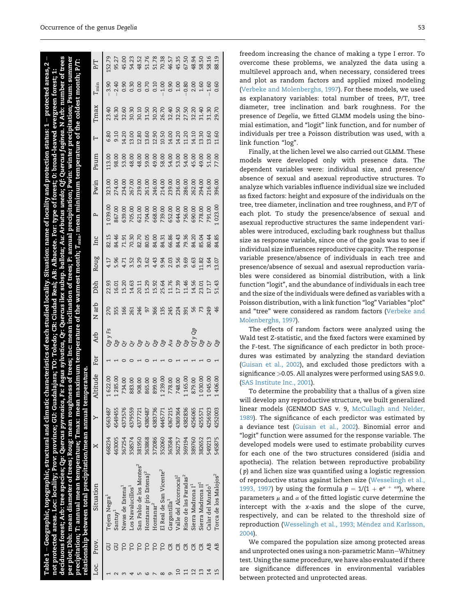<span id="page-3-0"></span>

|      |       | not protected areas. Loc: locality; Prov: province; GU: Guadalajara; TO: Toledo; CR: Giudad Real; AB: Albacete. For: type of forest; 0: broad-leaved evergree<br>deciduous forest; Arb: tree species; Qp: Quercus pyrenaica |          |         |          |     |                       |            |                | ρq    |                                           |                |        |                                                                |          |                |                                                                                                                                                                                                                                                                                                                                                                                                                                                                                  |        |
|------|-------|-----------------------------------------------------------------------------------------------------------------------------------------------------------------------------------------------------------------------------|----------|---------|----------|-----|-----------------------|------------|----------------|-------|-------------------------------------------|----------------|--------|----------------------------------------------------------------|----------|----------------|----------------------------------------------------------------------------------------------------------------------------------------------------------------------------------------------------------------------------------------------------------------------------------------------------------------------------------------------------------------------------------------------------------------------------------------------------------------------------------|--------|
|      |       | per plot; Dbh: mean diameter of trees; Roug: mean rough                                                                                                                                                                     |          |         |          |     |                       | nionielni  |                |       |                                           |                |        |                                                                |          |                |                                                                                                                                                                                                                                                                                                                                                                                                                                                                                  |        |
|      |       | relationship between total precipitation/mean annual ten<br>precipitation; T: annual mean temperature; Tmax: mean                                                                                                           |          |         |          |     |                       |            |                |       |                                           |                |        |                                                                |          |                |                                                                                                                                                                                                                                                                                                                                                                                                                                                                                  |        |
| Loc. | Prov. | Situation                                                                                                                                                                                                                   | $\times$ |         | Altitude | For | Arb                   | N arb      | Dbh            | Roug  | Inc                                       | $\overline{a}$ | Pwin   | Psum                                                           | $\vdash$ | Tmax           | $T_{\rm min}$                                                                                                                                                                                                                                                                                                                                                                                                                                                                    | P/T    |
|      |       | Tejera Negra <sup>1</sup>                                                                                                                                                                                                   | 468234   | 4563487 | 1622.00  |     |                       | 270        | 22.93          | 4.17  | 82.15                                     | 039.00         | 323.00 | 113.00                                                         | 6.80     | 23.40          | $-3.90$                                                                                                                                                                                                                                                                                                                                                                                                                                                                          | L52.79 |
|      |       | $\mathrm{Santuy}^1$                                                                                                                                                                                                         | 463005   | 4549455 | 285.0C   |     |                       |            | 16.01          |       |                                           |                |        |                                                                | 9.10     |                |                                                                                                                                                                                                                                                                                                                                                                                                                                                                                  |        |
|      |       | Navas de Estena <sup>1</sup>                                                                                                                                                                                                | 367254   | 4373576 | 734.00   |     |                       | 166        | 15.20<br>14.63 |       |                                           |                |        |                                                                |          |                |                                                                                                                                                                                                                                                                                                                                                                                                                                                                                  |        |
|      |       | Los Navalucillos <sup>1</sup>                                                                                                                                                                                               | 358574   | 4379559 | 883.00   |     |                       | 261        |                |       |                                           |                |        |                                                                |          | 32.60<br>30.30 |                                                                                                                                                                                                                                                                                                                                                                                                                                                                                  |        |
|      |       | San Pablo de los Montes <sup>2</sup>                                                                                                                                                                                        | 381950   | 437772  | 908.00   |     |                       | 246        |                |       | 84.46<br>71.91<br>70.30<br>80.05<br>80.05 |                |        |                                                                |          |                |                                                                                                                                                                                                                                                                                                                                                                                                                                                                                  |        |
|      | СL    | Hontanar (rio Estena) <sup>2</sup>                                                                                                                                                                                          | 363868   | 4380487 | 865.00   |     |                       | 57         |                |       |                                           |                |        |                                                                |          |                |                                                                                                                                                                                                                                                                                                                                                                                                                                                                                  |        |
|      | SL    | Hontanar <sup>2</sup>                                                                                                                                                                                                       | 372086   | 4383736 | 899.00   |     |                       | 366        |                |       | 84.00                                     |                |        |                                                                |          |                |                                                                                                                                                                                                                                                                                                                                                                                                                                                                                  |        |
|      | ρ     | El Real de San Vicente <sup>2</sup>                                                                                                                                                                                         | 352060   | 444577  | 1239.00  |     | ៜ<br>៓៓៓ៜឨៜឨឨឨឨឨឨឨឨឨឨ | 135        |                |       |                                           |                |        | 8 8 8 8 8 8 8 8 8 8 8 8 8 8<br>8 5 8 9 8 9 8 9 8 8 9 8 9 8 9 8 |          |                | $\begin{array}{cccccccccc} \multicolumn{4}{c}{\textbf{4}} & \multicolumn{4}{c}{\textbf{8}} & \multicolumn{4}{c}{\textbf{8}} & \multicolumn{4}{c}{\textbf{8}} & \multicolumn{4}{c}{\textbf{8}} & \multicolumn{4}{c}{\textbf{8}} & \multicolumn{4}{c}{\textbf{8}} & \multicolumn{4}{c}{\textbf{8}} & \multicolumn{4}{c}{\textbf{8}} & \multicolumn{4}{c}{\textbf{8}} & \multicolumn{4}{c}{\textbf{8}} & \multicolumn{4}{c}{\textbf{8}} & \multicolumn{4}{c}{\textbf{8}} & \multic$ |        |
|      | G     | Gargantilla <sup>1</sup>                                                                                                                                                                                                    | 363584   | 4367215 | 778.00   |     |                       | 245<br>224 |                |       | 84.31<br>66.86                            |                |        |                                                                |          |                |                                                                                                                                                                                                                                                                                                                                                                                                                                                                                  |        |
|      | G     | Valle del Alcornocal <sup>2</sup>                                                                                                                                                                                           | 362757   | 4369364 | 748.00   |     |                       |            |                |       | 84.43                                     |                |        |                                                                |          |                |                                                                                                                                                                                                                                                                                                                                                                                                                                                                                  |        |
|      | g     | Risco de las Paradas <sup>2</sup>                                                                                                                                                                                           | 369194   | 4382836 | 1 165.00 |     |                       | 391        |                |       | 79.36                                     |                |        |                                                                |          |                |                                                                                                                                                                                                                                                                                                                                                                                                                                                                                  |        |
|      |       | Sierra Madrona I <sup>1</sup>                                                                                                                                                                                               | 389760   | 4256065 | 879.00   |     |                       | 56         |                |       | 84.20<br>85.04                            |                |        |                                                                |          |                |                                                                                                                                                                                                                                                                                                                                                                                                                                                                                  |        |
|      |       | Sierra Madrona II <sup>1</sup>                                                                                                                                                                                              | 382652   | 425557  | 1030.00  |     |                       |            |                |       |                                           |                |        |                                                                |          |                |                                                                                                                                                                                                                                                                                                                                                                                                                                                                                  |        |
|      | Æ     | Calar del Mundo                                                                                                                                                                                                             | 549213   | 4256923 | 1045.00  |     |                       | 249        |                |       | 80.44                                     |                |        |                                                                |          |                |                                                                                                                                                                                                                                                                                                                                                                                                                                                                                  |        |
|      | Æ     | Torca de los Malojos <sup>2</sup>                                                                                                                                                                                           | 545875   | 4252003 | 1406.00  |     |                       | 46         | 51.43          | 13.07 | 84.85                                     | 1023.00        |        |                                                                | 11.60    | 29.70          |                                                                                                                                                                                                                                                                                                                                                                                                                                                                                  | 88.19  |

15 AB Torca de los Malojos2 545875 4252003 1 406.00 1 Qp 46 51.43 13.07 84.85 1 023.00 396.00 77.00 11.60 29.70 0.60 88.19

los Malojos<sup>2</sup>

Table 1

Geographic, topographic, structural and climatic characteristics of each studied locality. Situation: name of locality and protection status: 1

 $-$  protected areas, 2  $\,$ 

freedom increasing the chance of making a type I error. To overcome these problems, we analyzed the data using a multilevel approach and, when necessary, considered trees and plot as random factors and applied mixed modeling [\(Verbeke and Molenberghs, 1997\)](#page-9-0). For these models, we used as explanatory variables: total number of trees, P/T, tree diameter, tree inclination and bark roughness. For the presence of Degelia, we fitted GLMM models using the binomial estimation, and "logit" link function, and for number of individuals per tree a Poisson distribution was used, with a link function "log".

Finally, at the lichen level we also carried out GLMM. These models were developed only with presence data. The dependent variables were: individual size, and presence/ absence of sexual and asexual reproductive structures. To analyze which variables influence individual size we included as fixed factors: height and exposure of the individuals on the tree, tree diameter, inclination and tree roughness, and P/T of each plot. To study the presence/absence of sexual and asexual reproductive structures the same independent variables were introduced, excluding bark roughness but thallus size as response variable, since one of the goals was to see if individual size influences reproductive capacity. The response variable presence/absence of individuals in each tree and presence/absence of sexual and asexual reproduction variables were considered as binomial distribution, with a link function "logit", and the abundance of individuals in each tree and the size of the individuals were defined as variables with a Poisson distribution, with a link function "log" Variables "plot" and "tree" were considered as random factors [\(Verbeke and](#page-9-0) [Molenberghs, 1997](#page-9-0)).

The effects of random factors were analyzed using the Wald test Z-statistic, and the fixed factors were examined by the F-test. The significance of each predictor in both procedures was estimated by analyzing the standard deviation [\(Guisan et al., 2002\)](#page-8-0), and excluded those predictors with a significance >0.05. All analyzes were performed using SAS 9.0. [\(SAS Institute Inc., 2001](#page-9-0)).

To determine the probability that a thallus of a given size will develop any reproductive structure, we built generalized linear models (GENMOD SAS v. 9, [McCullagh and Nelder,](#page-8-0) [1989\)](#page-8-0). The significance of each predictor was estimated by a deviance test [\(Guisan et al., 2002](#page-8-0)). Binomial error and "logit" function were assumed for the response variable. The developed models were used to estimate probability curves for each one of the two structures considered (isidia and apothecia). The relation between reproductive probability ( p) and lichen size was quantified using a logistic regression of reproductive status against lichen size ([Wesselingh et al.,](#page-9-0) [1993, 1997](#page-9-0)) by using the formula  $p = 1/(1 + e^{\mu + \alpha x})$ , where parameters  $\mu$  and  $\alpha$  of the fitted logistic curve determine the intercept with the x-axis and the slope of the curve, respectively, and can be related to the threshold size of reproduction (Wesselingh et al., 1993; Méndez and Karlsson, [2004\)](#page-9-0).

We compared the population size among protected areas and unprotected ones using a non-parametric Mann-Whitney test. Using the same procedure, we have also evaluated if there are significance differences in environmental variables between protected and unprotected areas.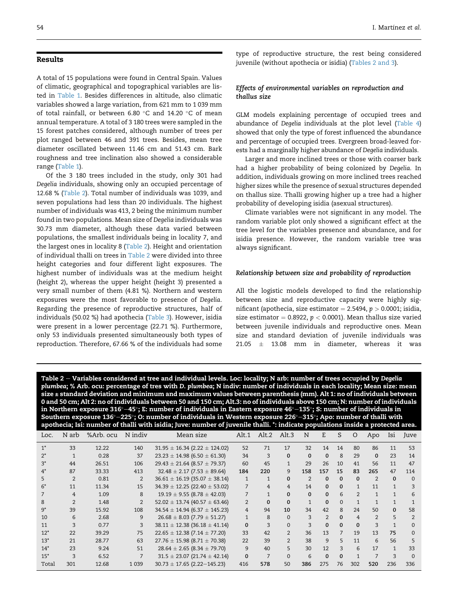# Results

A total of 15 populations were found in Central Spain. Values of climatic, geographical and topographical variables are listed in [Table 1.](#page-3-0) Besides differences in altitude, also climatic variables showed a large variation, from 621 mm to 1 039 mm of total rainfall, or between 6.80  $^{\circ}$ C and 14.20  $^{\circ}$ C of mean annual temperature. A total of 3 180 trees were sampled in the 15 forest patches considered, although number of trees per plot ranged between 46 and 391 trees. Besides, mean tree diameter oscillated between 11.46 cm and 51.43 cm. Bark roughness and tree inclination also showed a considerable range [\(Table 1](#page-3-0)).

Of the 3 180 trees included in the study, only 301 had Degelia individuals, showing only an occupied percentage of 12.68 % (Table 2). Total number of individuals was 1039, and seven populations had less than 20 individuals. The highest number of individuals was 413, 2 being the minimum number found in two populations. Mean size of Degelia individuals was 30.73 mm diameter, although these data varied between populations, the smallest individuals being in locality 7, and the largest ones in locality 8 (Table 2). Height and orientation of individual thalli on trees in Table 2 were divided into three height categories and four different light exposures. The highest number of individuals was at the medium height (height 2), whereas the upper height (height 3) presented a very small number of them (4.81 %). Northern and western exposures were the most favorable to presence of Degelia. Regarding the presence of reproductive structures, half of individuals (50.02 %) had apothecia [\(Table 3\)](#page-5-0). However, isidia were present in a lower percentage (22.71 %). Furthermore, only 53 individuals presented simultaneously both types of reproduction. Therefore, 67.66 % of the individuals had some

type of reproductive structure, the rest being considered juvenile (without apothecia or isidia) (Tables 2 and 3).

# Effects of environmental variables on reproduction and thallus size

GLM models explaining percentage of occupied trees and abundance of Degelia individuals at the plot level [\(Table 4\)](#page-5-0) showed that only the type of forest influenced the abundance and percentage of occupied trees. Evergreen broad-leaved forests had a marginally higher abundance of Degelia individuals.

Larger and more inclined trees or those with coarser bark had a higher probability of being colonized by Degelia. In addition, individuals growing on more inclined trees reached higher sizes while the presence of sexual structures depended on thallus size. Thalli growing higher up a tree had a higher probability of developing isidia (asexual structures).

Climate variables were not significant in any model. The random variable plot only showed a significant effect at the tree level for the variables presence and abundance, and for isidia presence. However, the random variable tree was always significant.

#### Relationship between size and probability of reproduction

All the logistic models developed to find the relationship between size and reproductive capacity were highly significant (apothecia, size estimator = 2.5494,  $p > 0.0001$ ; isidia, size estimator = 0.8922,  $p < 0.0001$ ). Mean thallus size varied between juvenile individuals and reproductive ones. Mean size and standard deviation of juvenile individuals was  $21.05 \pm 13.08$  mm in diameter, whereas it was

Table 2 – Variables considered at tree and individual levels. Loc: locality; N arb: number of trees occupied by Degelia plumbea; % Arb. ocu: percentage of tres with D. plumbea; N indiv: number of individuals in each locality; Mean size: mean size ± standard deviation and minimum and maximum values between parenthesis (mm). Alt 1: no of individuals between 0 and 50 cm; Alt 2: no of individuals between 50 and 150 cm; Alt.3: no of individuals above 150 cm; N: number of individuals in Northern exposure 316°–45°; E: number of individuals in Eastern exposure 46°–135°; S: number of individuals in Southern exposure 136°–225°; O: number of individuals in Western exposure 226°–315°; Apo: number of thalli with apothecia; Isi: number of thalli with isidia; Juve: number of juvenile thalli. \*: indicate populations inside a protected area.

| Loc.  | N arb          | %Arb. ocu | N indiv        | Mean size                             | Alt.1          | Alt.2    | Alt.3          | N              | E              | S            | O              | Apo            | Isi          | Juve           |
|-------|----------------|-----------|----------------|---------------------------------------|----------------|----------|----------------|----------------|----------------|--------------|----------------|----------------|--------------|----------------|
|       | 33             | 12.22     | 140            | $31.95 \pm 16.34$ (2.22 $\pm$ 124.02) | 52             | 71       | 17             | 32             | 14             | 14           | 80             | 86             | 11           | 53             |
| $2^*$ |                | 0.28      | 37             | $23.23 \pm 14.98$ (6.50 $\pm$ 61.30)  | 34             | 3        | $\Omega$       | $\Omega$       | $\Omega$       | 8            | 29             | $\mathbf{0}$   | 23           | 14             |
| $3^*$ | 44             | 26.51     | 106            | $29.43 \pm 21.64$ (8.57 $\pm$ 79.37)  | 60             | 45       |                | 29             | 26             | 10           | 41             | 56             | 11           | 47             |
| $4^*$ | 87             | 33.33     | 413            | $32.48 \pm 2.17$ (7.53 $\pm$ 89.64)   | 184            | 220      | 9              | 158            | 157            | 15           | 83             | 265            | 47           | 114            |
| 5     | $\overline{2}$ | 0.81      | $\overline{2}$ | $36.61 \pm 16.19$ (35.07 $\pm$ 38.14) |                |          | 0              | $\overline{2}$ | $\Omega$       | $\Omega$     | $\Omega$       | 2              | $\mathbf{0}$ | $\Omega$       |
| $6^*$ | 11             | 11.34     | 15             | $34.39 \pm 12.25$ (22.40 $\pm$ 53.02) |                | 4        | 4              | 14             | $\mathbf{0}$   | $\Omega$     | $\mathbf{1}$   | 11             | 1            |                |
|       | 4              | 1.09      | 8              | $19.19 \pm 9.55$ (8.78 $\pm$ 42.03)   |                |          | 0              | $\Omega$       | $\Omega$       | 6            | $\overline{2}$ | $\mathbf{1}$   | 1            | 6              |
| 8     | $\overline{2}$ | 1.48      | $\overline{2}$ | $52.02 \pm 13.74$ (40.57 $\pm$ 63.46) | $\overline{2}$ | $\Omega$ | 0              | 1              | $\Omega$       | $\Omega$     | $\mathbf{1}$   | $\mathbf{1}$   | 1            |                |
| $9*$  | 39             | 15.92     | 108            | $34.54 \pm 14.94$ (6.37 $\pm$ 145.23) | 4              | 94       | 10             | 34             | 42             | $\mathsf{R}$ | 24             | 50             | $\Omega$     | 58             |
| 10    | 6              | 2.68      | 9              | $26.68 \pm 8.03$ (7.79 $\pm$ 51.27)   |                | 8        | $\Omega$       | ζ              | $\overline{2}$ | $\Omega$     | $\overline{4}$ | $\overline{2}$ | 5            | $\overline{2}$ |
| 11    | 3              | 0.77      | 3              | $38.11 \pm 12.38$ (36.18 $\pm$ 41.14) | $\Omega$       | 3        | $\Omega$       | 3              | $\Omega$       | $\Omega$     | $\Omega$       | 3              |              |                |
| $12*$ | 22             | 39.29     | 75             | $22.65 \pm 12.38 (7.14 \pm 77.20)$    | 33             | 42       |                | 36             | 13             |              | 19             | 13             | 75           |                |
| $13*$ | 21             | 28.77     | 63             | $27.76 \pm 15.98$ (8.71 $\pm$ 70.38)  | 22             | 39       | $\overline{2}$ | 38             | 9              | 5            | 11             | 6              | 56           |                |
| $14*$ | 23             | 9.24      | 51             | $28.64 \pm 2.65 (8.34 \pm 79.70)$     | 9              | 40       |                | 30             | 12             | 3            | 6              | 17             | $\mathbf{1}$ | 33             |
| $15*$ | 3              | 6.52      | 7              | $31.5 \pm 23.07$ (21.74 $\pm$ 42.14)  | $\Omega$       |          | $\Omega$       | 6              | $\Omega$       | $\Omega$     | 1              | 7              | 3            | $\Omega$       |
| Total | 301            | 12.68     | 1 0 3 9        | $30.73 \pm 17.65$ (2.22-145.23)       | 416            | 578      | 50             | 386            | 275            | 76           | 302            | 520            | 236          | 336            |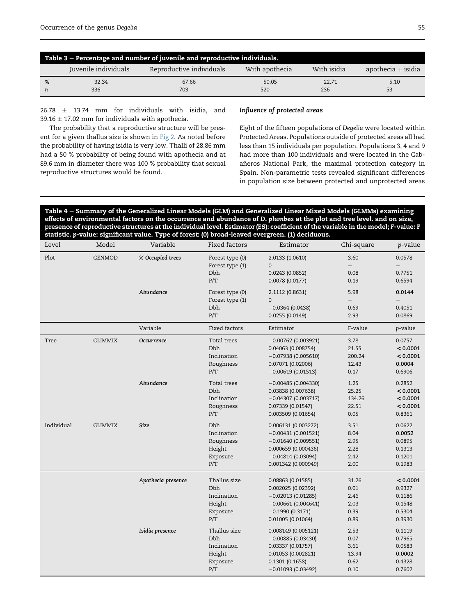<span id="page-5-0"></span>

| Table $3$ – Percentage and number of juvenile and reproductive individuals. |                      |                          |                |              |                      |  |  |  |  |
|-----------------------------------------------------------------------------|----------------------|--------------------------|----------------|--------------|----------------------|--|--|--|--|
|                                                                             | Juvenile individuals | Reproductive individuals | With apothecia | With isidia  | $apothecia + isidia$ |  |  |  |  |
| %<br>n                                                                      | 32.34<br>336         | 67.66<br>703             | 50.05<br>520   | 22.71<br>236 | 5.10<br>53           |  |  |  |  |

 $26.78 \pm 13.74$  mm for individuals with isidia, and 39.16  $\pm$  17.02 mm for individuals with apothecia.

Influence of protected areas

The probability that a reproductive structure will be present for a given thallus size is shown in [Fig 2](#page-6-0). As noted before the probability of having isidia is very low. Thalli of 28.86 mm had a 50 % probability of being found with apothecia and at 89.6 mm in diameter there was 100 % probability that sexual reproductive structures would be found.

# Eight of the fifteen populations of Degelia were located within Protected Areas. Populations outside of protected areas all had less than 15 individuals per population. Populations 3, 4 and 9 had more than 100 individuals and were located in the Cabañeros National Park, the maximal protection category in Spain. Non-parametric tests revealed significant differences in population size between protected and unprotected areas

Table 4 – Summary of the Generalized Linear Models (GLM) and Generalized Linear Mixed Models (GLMMs) examining effects of environmental factors on the occurrence and abundance of D. plumbea at the plot and tree level. and on size, presence of reproductive structures at the individual level. Estimator (ES): coefficient of the variable in the model; F-value: F statistic. p-value: significant value. Type of forest: (0) broad-leaved evergreen. (1) deciduous.

| Level      | Model          | Variable           | Fixed factors                      | Estimator                      | Chi-square                       | p-value                            |
|------------|----------------|--------------------|------------------------------------|--------------------------------|----------------------------------|------------------------------------|
| Plot       | <b>GENMOD</b>  | % Occupied trees   | Forest type (0)<br>Forest type (1) | 2.0133 (1.0610)<br>0           | 3.60<br>$-$                      | 0.0578<br>$\overline{\phantom{0}}$ |
|            |                |                    | <b>Dbh</b><br>P/T                  | 0.0243(0.0852)                 | 0.08<br>0.19                     | 0.7751<br>0.6594                   |
|            |                | Abundance          |                                    | 0.0078(0.0177)                 |                                  |                                    |
|            |                |                    | Forest type (0)<br>Forest type (1) | 2.1112 (0.8631)<br>$\mathbf 0$ | 5.98<br>$\overline{\phantom{0}}$ | 0.0144                             |
|            |                |                    | Dbh                                | $-0.0364(0.0438)$              | 0.69                             | 0.4051                             |
|            |                |                    | P/T                                | 0.0255(0.0149)                 | 2.93                             | 0.0869                             |
|            |                | Variable           | Fixed factors                      | Estimator                      | F-value                          | <i>p</i> -value                    |
| Tree       | <b>GLIMMIX</b> | Occurrence         | Total trees                        | $-0.00762$ (0.003921)          | 3.78                             | 0.0757                             |
|            |                |                    | <b>Dbh</b>                         | 0.04063 (0.008754)             | 21.55                            | < 0.0001                           |
|            |                |                    | Inclination                        | $-0.07938(0.005610)$           | 200.24                           | < 0.0001                           |
|            |                |                    | Roughness                          | 0.07071 (0.02006)              | 12.43                            | 0.0004                             |
|            |                |                    | P/T                                | $-0.00619(0.01513)$            | 0.17                             | 0.6906                             |
|            |                | Abundance          | Total trees                        | $-0.00485(0.004330)$           | 1.25                             | 0.2852                             |
|            |                |                    | Dbh                                | 0.03838 (0.007638)             | 25.25                            | < 0.0001                           |
|            |                |                    | Inclination                        | $-0.04307(0.003717)$           | 134.26                           | < 0.0001                           |
|            |                |                    | Roughness                          | 0.07339(0.01547)               | 22.51                            | < 0.0001                           |
|            |                |                    | P/T                                | 0.003509 (0.01654)             | 0.05                             | 0.8361                             |
| Individual | <b>GLIMMIX</b> | <b>Size</b>        | Dbh                                | 0.006131 (0.003272)            | 3.51                             | 0.0622                             |
|            |                |                    | Inclination                        | $-0.00431(0.001521)$           | 8.04                             | 0.0052                             |
|            |                |                    | Roughness                          | $-0.01640$ (0.009551)          | 2.95                             | 0.0895                             |
|            |                |                    | Height                             | 0.000659(0.000436)             | 2.28                             | 0.1313                             |
|            |                |                    | Exposure                           | $-0.04814(0.03094)$            | 2.42                             | 0.1201                             |
|            |                |                    | P/T                                | 0.001342 (0.000949)            | 2.00                             | 0.1983                             |
|            |                | Apothecia presence | Thallus size                       | 0.08863 (0.01585)              | 31.26                            | < 0.0001                           |
|            |                |                    | Dbh                                | 0.002025 (0.02392)             | 0.01                             | 0.9327                             |
|            |                |                    | Inclination                        | $-0.02013(0.01285)$            | 2.46                             | 0.1186                             |
|            |                |                    | Height                             | $-0.00661(0.004641)$           | 2.03                             | 0.1548                             |
|            |                |                    | Exposure                           | $-0.1990(0.3171)$              | 0.39                             | 0.5304                             |
|            |                |                    | P/T                                | 0.01005(0.01064)               | 0.89                             | 0.3930                             |
|            |                | Isidia presence    | Thallus size                       | 0.008149 (0.005121)            | 2.53                             | 0.1119                             |
|            |                |                    | <b>Dbh</b>                         | $-0.00885(0.03430)$            | 0.07                             | 0.7965                             |
|            |                |                    | Inclination                        | 0.03337(0.01757)               | 3.61                             | 0.0583                             |
|            |                |                    | Height                             | 0.01053 (0.002821)             | 13.94                            | 0.0002                             |
|            |                |                    | Exposure                           | 0.1301(0.1658)                 | 0.62                             | 0.4328                             |
|            |                |                    | P/T                                | $-0.01093(0.03492)$            | 0.10                             | 0.7602                             |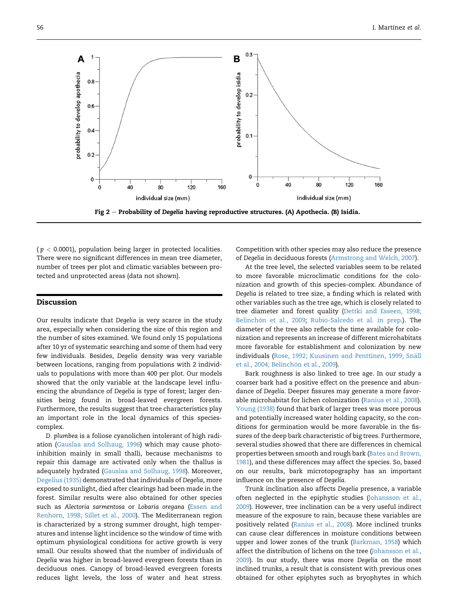<span id="page-6-0"></span>

Fig 2 - Probability of Degelia having reproductive structures. (A) Apothecia. (B) Isidia.

( $p < 0.0001$ ), population being larger in protected localities. There were no significant differences in mean tree diameter, number of trees per plot and climatic variables between protected and unprotected areas (data not shown).

# Discussion

Our results indicate that Degelia is very scarce in the study area, especially when considering the size of this region and the number of sites examined. We found only 15 populations after 10 yr of systematic searching and some of them had very few individuals. Besides, Degelia density was very variable between locations, ranging from populations with 2 individuals to populations with more than 400 per plot. Our models showed that the only variable at the landscape level influencing the abundance of Degelia is type of forest; larger densities being found in broad-leaved evergreen forests. Furthermore, the results suggest that tree characteristics play an important role in the local dynamics of this speciescomplex.

D. plumbea is a foliose cyanolichen intolerant of high radiation [\(Gauslaa and Solhaug, 1996\)](#page-8-0) which may cause photoinhibition mainly in small thalli, because mechanisms to repair this damage are activated only when the thallus is adequately hydrated ([Gauslaa and Solhaug, 1998\)](#page-8-0). Moreover, [Degelius \(1935\)](#page-8-0) demonstrated that individuals of Degelia, more exposed to sunlight, died after clearings had been made in the forest. Similar results were also obtained for other species such as Alectoria sarmentosa or Lobaria oregana ([Essen and](#page-8-0) [Renhorn, 1998; Sillet et al., 2000\)](#page-8-0). The Mediterranean region is characterized by a strong summer drought, high temperatures and intense light incidence so the window of time with optimum physiological conditions for active growth is very small. Our results showed that the number of individuals of Degelia was higher in broad-leaved evergreen forests than in deciduous ones. Canopy of broad-leaved evergreen forests reduces light levels, the loss of water and heat stress.

Competition with other species may also reduce the presence of Degelia in deciduous forests ([Armstrong and Welch, 2007](#page-8-0)).

At the tree level, the selected variables seem to be related to more favorable microclimatic conditions for the colonization and growth of this species-complex. Abundance of Degelia is related to tree size, a finding which is related with other variables such as the tree age, which is closely related to tree diameter and forest quality [\(Dettki and Esseen, 1998;](#page-8-0) Belinchón et al., 2009; [Rubio-Salcedo et al. in prep.](#page-9-0)). The diameter of the tree also reflects the time available for colonization and represents an increase of different microhabitats more favorable for establishment and colonization by new individuals (Rose, 1992; Kuusinen and Penttinen, 1999; Snäll et al., 2004; Belinchón et al., 2009).

Bark roughness is also linked to tree age. In our study a coarser bark had a positive effect on the presence and abundance of Degelia. Deeper fissures may generate a more favorable microhabitat for lichen colonization ([Ranius et al., 2008\)](#page-9-0). [Young \(1938\)](#page-9-0) found that bark of larger trees was more porous and potentially increased water holding capacity, so the conditions for germination would be more favorable in the fissures of the deep bark characteristic of big trees. Furthermore, several studies showed that there are differences in chemical properties between smooth and rough bark [\(Bates and Brown,](#page-8-0) [1981\)](#page-8-0), and these differences may affect the species. So, based on our results, bark microtopography has an important influence on the presence of Degelia.

Trunk inclination also affects Degelia presence, a variable often neglected in the epiphytic studies [\(Johansson et al.,](#page-8-0) [2009\)](#page-8-0). However, tree inclination can be a very useful indirect measure of the exposure to rain, because these variables are positively related [\(Ranius et al., 2008\)](#page-9-0). More inclined trunks can cause clear differences in moisture conditions between upper and lower zones of the trunk ([Barkman, 1958](#page-8-0)) which affect the distribution of lichens on the tree ([Johansson et al.,](#page-8-0) [2009\)](#page-8-0). In our study, there was more Degelia on the most inclined trunks, a result that is consistent with previous ones obtained for other epiphytes such as bryophytes in which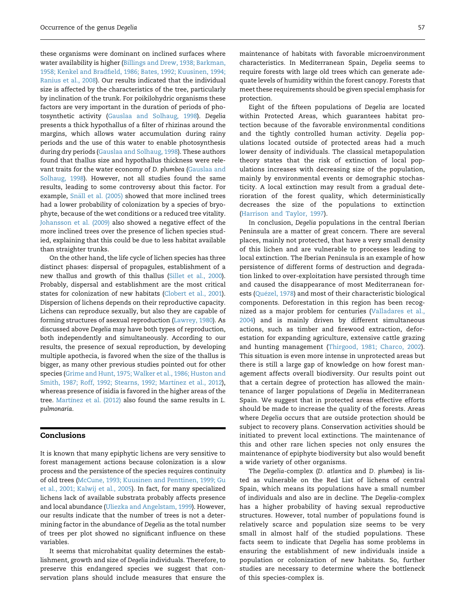these organisms were dominant on inclined surfaces where water availability is higher [\(Billings and Drew, 1938; Barkman,](#page-8-0) [1958; Kenkel and Bradfield, 1986; Bates, 1992; Kuusinen, 1994;](#page-8-0) [Ranius et al., 2008\)](#page-8-0). Our results indicated that the individual size is affected by the characteristics of the tree, particularly by inclination of the trunk. For poikilohydric organisms these factors are very important in the duration of periods of photosynthetic activity [\(Gauslaa and Solhaug, 1998](#page-8-0)). Degelia presents a thick hypothallus of a filter of rhizinas around the margins, which allows water accumulation during rainy periods and the use of this water to enable photosynthesis during dry periods [\(Gauslaa and Solhaug, 1998](#page-8-0)). These authors found that thallus size and hypothallus thickness were relevant traits for the water economy of D. plumbea ([Gauslaa and](#page-8-0) [Solhaug, 1998\)](#page-8-0). However, not all studies found the same results, leading to some controversy about this factor. For example, Snäll et al. (2005) showed that more inclined trees had a lower probability of colonization by a species of bryophyte, because of the wet conditions or a reduced tree vitality. [Johansson et al. \(2009\)](#page-8-0) also showed a negative effect of the more inclined trees over the presence of lichen species studied, explaining that this could be due to less habitat available than straighter trunks.

On the other hand, the life cycle of lichen species has three distinct phases: dispersal of propagules, establishment of a new thallus and growth of this thallus [\(Sillet et al., 2000](#page-9-0)). Probably, dispersal and establishment are the most critical states for colonization of new habitats ([Clobert et al., 2001](#page-8-0)). Dispersion of lichens depends on their reproductive capacity. Lichens can reproduce sexually, but also they are capable of forming structures of asexual reproduction [\(Lawrey, 1980](#page-8-0)). As discussed above Degelia may have both types of reproduction, both independently and simultaneously. According to our results, the presence of sexual reproduction, by developing multiple apothecia, is favored when the size of the thallus is bigger, as many other previous studies pointed out for other species [\(Grime and Hunt, 1975; Walker et al., 1986; Huston and](#page-8-0) [Smith, 1987; Roff, 1992; Stearns, 1992; Mart](#page-8-0)ínez et al., 2012), whereas presence of isidia is favored in the higher areas of the tree. [Mart](#page-8-0)ínez et al. (2012) also found the same results in L. pulmonaria.

# Conclusions

It is known that many epiphytic lichens are very sensitive to forest management actions because colonization is a slow process and the persistence of the species requires continuity of old trees [\(McCune, 1993; Kuusinen and Penttinen, 1999; Gu](#page-8-0) [et al., 2001; Kalwij et al., 2005\)](#page-8-0). In fact, for many specialized lichens lack of available substrata probably affects presence and local abundance [\(Uliezka and Angelstam, 1999\)](#page-9-0). However, our results indicate that the number of trees is not a determining factor in the abundance of Degelia as the total number of trees per plot showed no significant influence on these variables.

It seems that microhabitat quality determines the establishment, growth and size of Degelia individuals. Therefore, to preserve this endangered species we suggest that conservation plans should include measures that ensure the maintenance of habitats with favorable microenvironment characteristics. In Mediterranean Spain, Degelia seems to require forests with large old trees which can generate adequate levels of humidity within the forest canopy. Forests that meet these requirements should be given special emphasis for protection.

Eight of the fifteen populations of Degelia are located within Protected Areas, which guarantees habitat protection because of the favorable environmental conditions and the tightly controlled human activity. Degelia populations located outside of protected areas had a much lower density of individuals. The classical metapopulation theory states that the risk of extinction of local populations increases with decreasing size of the population, mainly by environmental events or demographic stochasticity. A local extinction may result from a gradual deterioration of the forest quality, which deterministically decreases the size of the populations to extinction [\(Harrison and Taylor, 1997\)](#page-8-0).

In conclusion, Degelia populations in the central Iberian Peninsula are a matter of great concern. There are several places, mainly not protected, that have a very small density of this lichen and are vulnerable to processes leading to local extinction. The Iberian Peninsula is an example of how persistence of different forms of destruction and degradation linked to over-exploitation have persisted through time and caused the disappearance of most Mediterranean forests (Quézel, 1978) and most of their characteristic biological components. Deforestation in this region has been recognized as a major problem for centuries ([Valladares et al.,](#page-9-0) [2004\)](#page-9-0) and is mainly driven by different simultaneous actions, such as timber and firewood extraction, deforestation for expanding agriculture, extensive cattle grazing and hunting management ([Thirgood, 1981; Charco, 2002](#page-9-0)). This situation is even more intense in unprotected areas but there is still a large gap of knowledge on how forest management affects overall biodiversity. Our results point out that a certain degree of protection has allowed the maintenance of larger populations of Degelia in Mediterranean Spain. We suggest that in protected areas effective efforts should be made to increase the quality of the forests. Areas where Degelia occurs that are outside protection should be subject to recovery plans. Conservation activities should be initiated to prevent local extinctions. The maintenance of this and other rare lichen species not only ensures the maintenance of epiphyte biodiversity but also would benefit a wide variety of other organisms.

The Degelia-complex (D. atlantica and D. plumbea) is listed as vulnerable on the Red List of lichens of central Spain, which means its populations have a small number of individuals and also are in decline. The Degelia-complex has a higher probability of having sexual reproductive structures. However, total number of populations found is relatively scarce and population size seems to be very small in almost half of the studied populations. These facts seem to indicate that Degelia has some problems in ensuring the establishment of new individuals inside a population or colonization of new habitats. So, further studies are necessary to determine where the bottleneck of this species-complex is.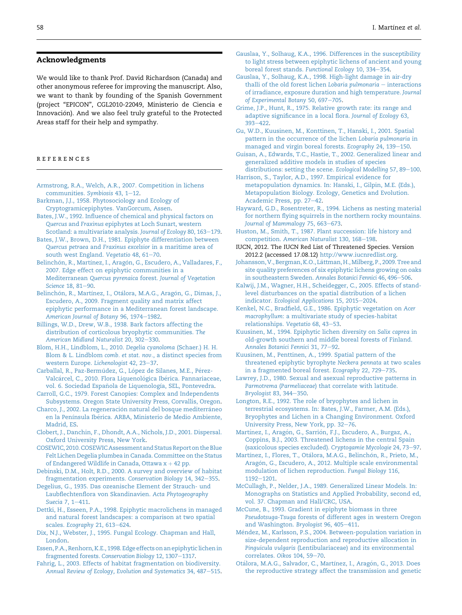# <span id="page-8-0"></span>Acknowledgments

We would like to thank Prof. David Richardson (Canada) and other anonymous referee for improving the manuscript. Also, we want to thank by founding of the Spanish Government (project "EPICON", CGL2010-22049, Ministerio de Ciencia e Innovación). And we also feel truly grateful to the Protected Areas staff for their help and sympathy.

references

- [Armstrong, R.A., Welch, A.R., 2007. Competition in lichens](http://refhub.elsevier.com/S1754-5048(14)00043-9/sref1) [communities.](http://refhub.elsevier.com/S1754-5048(14)00043-9/sref1) Symbiosis  $43, 1-12$  $43, 1-12$ .
- [Barkman, J.J., 1958. Phytosociology and Ecology of](http://refhub.elsevier.com/S1754-5048(14)00043-9/sref2) [Cryptogramicepiphytes. VanGorcum, Assen](http://refhub.elsevier.com/S1754-5048(14)00043-9/sref2).
- [Bates, J.W., 1992. Influence of chemical and physical factors on](http://refhub.elsevier.com/S1754-5048(14)00043-9/sref3) Quercus and Fraxinus [epiphytes at Loch Sunart, western](http://refhub.elsevier.com/S1754-5048(14)00043-9/sref3) [Scotland: a multivariate analysis.](http://refhub.elsevier.com/S1754-5048(14)00043-9/sref3) Journal of Ecology 80, 163-[179](http://refhub.elsevier.com/S1754-5048(14)00043-9/sref3).
- [Bates, J.W., Brown, D.H., 1981. Epiphyte differentiation between](http://refhub.elsevier.com/S1754-5048(14)00043-9/sref4) Quercus petraea and Fraxinus excelsior [in a maritime area of](http://refhub.elsevier.com/S1754-5048(14)00043-9/sref4) [south west England.](http://refhub.elsevier.com/S1754-5048(14)00043-9/sref4) Vegetatio 48, 61-[70.](http://refhub.elsevier.com/S1754-5048(14)00043-9/sref4)
- Belinchón, R., Martínez, I., Aragón, G., Escudero, A., Valladares, F., [2007. Edge effect on epiphytic communities in a](http://refhub.elsevier.com/S1754-5048(14)00043-9/sref5) Mediterranean Quercus pyrenaica forest. [Journal of Vegetation](http://refhub.elsevier.com/S1754-5048(14)00043-9/sref5) [Science](http://refhub.elsevier.com/S1754-5048(14)00043-9/sref5) 18, 81-[90](http://refhub.elsevier.com/S1754-5048(14)00043-9/sref5).
- Belinchón, R., Martí[nez, I., Ot](http://refhub.elsevier.com/S1754-5048(14)00043-9/sref6)á[lora, M.A.G., Arag](http://refhub.elsevier.com/S1754-5048(14)00043-9/sref6)ó[n, G., Dimas, J.,](http://refhub.elsevier.com/S1754-5048(14)00043-9/sref6) [Escudero, A., 2009. Fragment quality and matrix affect](http://refhub.elsevier.com/S1754-5048(14)00043-9/sref6) [epiphytic performance in a Mediterranean forest landscape.](http://refhub.elsevier.com/S1754-5048(14)00043-9/sref6) [American Journal of Botany](http://refhub.elsevier.com/S1754-5048(14)00043-9/sref6) 96, 1974-[1982.](http://refhub.elsevier.com/S1754-5048(14)00043-9/sref6)
- [Billings, W.D., Drew, W.B., 1938. Bark factors affecting the](http://refhub.elsevier.com/S1754-5048(14)00043-9/sref7) [distribution of corticolous bryophytic communities.](http://refhub.elsevier.com/S1754-5048(14)00043-9/sref7) The [American Midland Naturalist](http://refhub.elsevier.com/S1754-5048(14)00043-9/sref7) 20, 302-[330](http://refhub.elsevier.com/S1754-5048(14)00043-9/sref7).
- [Blom, H.H., Lindblom, L., 2010.](http://refhub.elsevier.com/S1754-5048(14)00043-9/sref8) Degelia cyanoloma (Schaer.) H. H. Blom & L. Lindblom comb. et stat. nov.[, a distinct species from](http://refhub.elsevier.com/S1754-5048(14)00043-9/sref8) [western Europe.](http://refhub.elsevier.com/S1754-5048(14)00043-9/sref8) Lichenologist 42, 23-[37.](http://refhub.elsevier.com/S1754-5048(14)00043-9/sref8)
- Carballal, R., Paz-Bermúdez, G., López de Silanes, M.E., PérezValcárcel, C., 2010. Flora Liquenoló[gica Ib](http://refhub.elsevier.com/S1754-5048(14)00043-9/sref9)é[rica. Pannariaceae,](http://refhub.elsevier.com/S1754-5048(14)00043-9/sref9) vol. 6. Sociedad Española de Liquenologí[a, SEL, Pontevedra](http://refhub.elsevier.com/S1754-5048(14)00043-9/sref9).
- [Carroll, G.C., 1979. Forest Canopies: Complex and Independents](http://refhub.elsevier.com/S1754-5048(14)00043-9/sref10) [Subsystems. Oregon State University Press, Corvallis, Oregon](http://refhub.elsevier.com/S1754-5048(14)00043-9/sref10).
- [Charco, J., 2002. La regeneraci](http://refhub.elsevier.com/S1754-5048(14)00043-9/sref11)ó[n natural del bosque mediterr](http://refhub.elsevier.com/S1754-5048(14)00043-9/sref11)á[neo](http://refhub.elsevier.com/S1754-5048(14)00043-9/sref11) [en la Pen](http://refhub.elsevier.com/S1754-5048(14)00043-9/sref11)ínsula Ibérica. ARBA, Ministerio de Medio Ambiente, [Madrid, ES.](http://refhub.elsevier.com/S1754-5048(14)00043-9/sref11)
- [Clobert, J., Danchin, F., Dhondt, A.A., Nichols, J.D., 2001. Dispersal.](http://refhub.elsevier.com/S1754-5048(14)00043-9/sref12) [Oxford University Press, New York.](http://refhub.elsevier.com/S1754-5048(14)00043-9/sref12)
- [COSEWIC, 2010.COSEWIC Assessment and Status Report on the Blue](http://refhub.elsevier.com/S1754-5048(14)00043-9/sref13) [Felt Lichen Degelia plumbea in Canada. Committee on the Status](http://refhub.elsevier.com/S1754-5048(14)00043-9/sref13) of Endangered Wildlife in Canada, Ottawa  $x + 42$  pp.

[Debinski, D.M., Holt, R.D., 2000. A survey and overview of habitat](http://refhub.elsevier.com/S1754-5048(14)00043-9/sref14) [fragmentation experiments.](http://refhub.elsevier.com/S1754-5048(14)00043-9/sref14) Conservation Biology 14, 342-[355](http://refhub.elsevier.com/S1754-5048(14)00043-9/sref14).

- [Degelius, G., 1935. Das ozeanische Element der Strauch- und](http://refhub.elsevier.com/S1754-5048(14)00043-9/sref15) [Laubflechtenflora von Skandinavien.](http://refhub.elsevier.com/S1754-5048(14)00043-9/sref15) Acta Phytogeography [Suecia](http://refhub.elsevier.com/S1754-5048(14)00043-9/sref15) 7, 1-[411](http://refhub.elsevier.com/S1754-5048(14)00043-9/sref15).
- [Dettki, H., Esseen, P.A., 1998. Epiphytic macrolichens in managed](http://refhub.elsevier.com/S1754-5048(14)00043-9/sref16) [and natural forest landscapes: a comparison at two spatial](http://refhub.elsevier.com/S1754-5048(14)00043-9/sref16) scales. [Ecography](http://refhub.elsevier.com/S1754-5048(14)00043-9/sref16) 21, 613-[624.](http://refhub.elsevier.com/S1754-5048(14)00043-9/sref16)
- [Dix, N.J., Webster, J., 1995. Fungal Ecology. Chapman and Hall,](http://refhub.elsevier.com/S1754-5048(14)00043-9/sref17) [London.](http://refhub.elsevier.com/S1754-5048(14)00043-9/sref17)
- [Essen, P.A., Renhorn, K.E., 1998. Edge effects on an epiphytic lichen in](http://refhub.elsevier.com/S1754-5048(14)00043-9/sref18) [fragmented forests.](http://refhub.elsevier.com/S1754-5048(14)00043-9/sref18) Conservation Biology 12, 1307-[1317](http://refhub.elsevier.com/S1754-5048(14)00043-9/sref18).
- [Fahrig, L., 2003. Effects of habitat fragmentation on biodiversity.](http://refhub.elsevier.com/S1754-5048(14)00043-9/sref19) [Annual Review of Ecology, Evolution and Systematics](http://refhub.elsevier.com/S1754-5048(14)00043-9/sref19) 34, 487-[515](http://refhub.elsevier.com/S1754-5048(14)00043-9/sref19).
- [Gauslaa, Y., Solhaug, K.A., 1996. Differences in the susceptibility](http://refhub.elsevier.com/S1754-5048(14)00043-9/sref20) [to light stress between epiphytic lichens of ancient and young](http://refhub.elsevier.com/S1754-5048(14)00043-9/sref20) [boreal forest stands.](http://refhub.elsevier.com/S1754-5048(14)00043-9/sref20) Functional Ecology 10, 334-[354.](http://refhub.elsevier.com/S1754-5048(14)00043-9/sref20)
- [Gauslaa, Y., Solhaug, K.A., 1998. High-light damage in air-dry](http://refhub.elsevier.com/S1754-5048(14)00043-9/sref21) [thalli of the old forest lichen](http://refhub.elsevier.com/S1754-5048(14)00043-9/sref21) Lobaria pulmonaria  $-$  [interactions](http://refhub.elsevier.com/S1754-5048(14)00043-9/sref21) [of irradiance, exposure duration and high temperature.](http://refhub.elsevier.com/S1754-5048(14)00043-9/sref21) Journal [of Experimental Botany](http://refhub.elsevier.com/S1754-5048(14)00043-9/sref21) 50, 697-[705.](http://refhub.elsevier.com/S1754-5048(14)00043-9/sref21)
- [Grime, J.P., Hunt, R., 1975. Relative growth rate: its range and](http://refhub.elsevier.com/S1754-5048(14)00043-9/sref22) [adaptive significance in a local flora.](http://refhub.elsevier.com/S1754-5048(14)00043-9/sref22) Journal of Ecology 63, [393](http://refhub.elsevier.com/S1754-5048(14)00043-9/sref22)-[422.](http://refhub.elsevier.com/S1754-5048(14)00043-9/sref22)
- [Gu, W.D., Kuusinen, M., Konttinen, T., Hanski, I., 2001. Spatial](http://refhub.elsevier.com/S1754-5048(14)00043-9/sref23) [pattern in the occurrence of the lichen](http://refhub.elsevier.com/S1754-5048(14)00043-9/sref23) Lobaria pulmonaria in [managed and virgin boreal forests.](http://refhub.elsevier.com/S1754-5048(14)00043-9/sref23) Ecography 24, 139-[150](http://refhub.elsevier.com/S1754-5048(14)00043-9/sref23).
- [Guisan, A., Edwards, T.C., Hastie, T., 2002. Generalized linear and](http://refhub.elsevier.com/S1754-5048(14)00043-9/sref24) [generalized additive models in studies of species](http://refhub.elsevier.com/S1754-5048(14)00043-9/sref24) [distributions: setting the scene.](http://refhub.elsevier.com/S1754-5048(14)00043-9/sref24) Ecological Modelling 57, 89-[100](http://refhub.elsevier.com/S1754-5048(14)00043-9/sref24).
- [Harrison, S., Taylor, A.D., 1997. Empirical evidence for](http://refhub.elsevier.com/S1754-5048(14)00043-9/sref25) [metapopulation dynamics. In: Hanski, I., Gilpin, M.E. \(Eds.\),](http://refhub.elsevier.com/S1754-5048(14)00043-9/sref25) [Metapopulation Biology. Ecology, Genetics and Evolution.](http://refhub.elsevier.com/S1754-5048(14)00043-9/sref25)
- [Academic Press, pp. 27](http://refhub.elsevier.com/S1754-5048(14)00043-9/sref25)-[42.](http://refhub.elsevier.com/S1754-5048(14)00043-9/sref25) [Hayward, G.D., Rosentreter, R., 1994. Lichens as nesting material](http://refhub.elsevier.com/S1754-5048(14)00043-9/sref26) [for northern flying squirrels in the northern rocky mountains.](http://refhub.elsevier.com/S1754-5048(14)00043-9/sref26) [Journal of Mammalogy](http://refhub.elsevier.com/S1754-5048(14)00043-9/sref26) 75, 663-[673](http://refhub.elsevier.com/S1754-5048(14)00043-9/sref26).
- [Huston, M., Smith, T., 1987. Plant succession: life history and](http://refhub.elsevier.com/S1754-5048(14)00043-9/sref27) competition. [American Naturalist](http://refhub.elsevier.com/S1754-5048(14)00043-9/sref27) 130, 168-[198](http://refhub.elsevier.com/S1754-5048(14)00043-9/sref27).
- IUCN, 2012. The IUCN Red List of Threatened Species. Version 2012.2 (accessed 17.08.12) [http://www.iucnredlist.org.](http://www.iucnredlist.org)
- Johansson, V., Bergman, K.O., Lättman, H., Milberg, P., 2009. Tree and [site quality preferences of six epiphytic lichens growing on oaks](http://refhub.elsevier.com/S1754-5048(14)00043-9/sref29) [in southeastern Sweden.](http://refhub.elsevier.com/S1754-5048(14)00043-9/sref29) Annales Botanici Fennici 46, 496-[506.](http://refhub.elsevier.com/S1754-5048(14)00043-9/sref29)
- [Kalwij, J.M., Wagner, H.H., Scheidegger, C., 2005. Effects of stand](http://refhub.elsevier.com/S1754-5048(14)00043-9/sref30)[level disturbances on the spatial distribution of a lichen](http://refhub.elsevier.com/S1754-5048(14)00043-9/sref30) indicator. [Ecological Applications](http://refhub.elsevier.com/S1754-5048(14)00043-9/sref30) 15, 2015-[2024.](http://refhub.elsevier.com/S1754-5048(14)00043-9/sref30)
- [Kenkel, N.C., Bradfield, G.E., 1986. Epiphytic vegetation on](http://refhub.elsevier.com/S1754-5048(14)00043-9/sref31) Acer macrophyllum[: a multivariate study of species-habitat](http://refhub.elsevier.com/S1754-5048(14)00043-9/sref31) [relationships.](http://refhub.elsevier.com/S1754-5048(14)00043-9/sref31) Vegetatio 68, 43-[53.](http://refhub.elsevier.com/S1754-5048(14)00043-9/sref31)
- [Kuusinen, M., 1994. Epiphytic lichen diversity on](http://refhub.elsevier.com/S1754-5048(14)00043-9/sref32) Salix caprea in [old-growth southern and middle boreal forests of Finland.](http://refhub.elsevier.com/S1754-5048(14)00043-9/sref32) [Annales Botanici Fennici](http://refhub.elsevier.com/S1754-5048(14)00043-9/sref32) 31, 77-[92.](http://refhub.elsevier.com/S1754-5048(14)00043-9/sref32)
- [Kuusinen, M., Penttinen, A., 1999. Spatial pattern of the](http://refhub.elsevier.com/S1754-5048(14)00043-9/sref33) [threatened epiphytic byrophyte](http://refhub.elsevier.com/S1754-5048(14)00043-9/sref33) Neckera pennata at two scales [in a fragmented boreal forest.](http://refhub.elsevier.com/S1754-5048(14)00043-9/sref33) Ecography 22, 729-[735.](http://refhub.elsevier.com/S1754-5048(14)00043-9/sref33)
- [Lawrey, J.D., 1980. Sexual and asexual reproductive patterns in](http://refhub.elsevier.com/S1754-5048(14)00043-9/sref34) Parmotrema (Parmeliaceae[\) that correlate with latitude.](http://refhub.elsevier.com/S1754-5048(14)00043-9/sref34) [Bryologist](http://refhub.elsevier.com/S1754-5048(14)00043-9/sref34) 83, 344-[350](http://refhub.elsevier.com/S1754-5048(14)00043-9/sref34).
- [Longton, R.E., 1992. The role of bryophytes and lichen in](http://refhub.elsevier.com/S1754-5048(14)00043-9/sref35) [terrestrial ecosystems. In: Bates, J.W., Farmer, A.M. \(Eds.\),](http://refhub.elsevier.com/S1754-5048(14)00043-9/sref35) [Bryophytes and Lichen in a Changing Environment. Oxford](http://refhub.elsevier.com/S1754-5048(14)00043-9/sref35) [University Press, New York, pp. 32](http://refhub.elsevier.com/S1754-5048(14)00043-9/sref35)-[76.](http://refhub.elsevier.com/S1754-5048(14)00043-9/sref35)
- [Mart](http://refhub.elsevier.com/S1754-5048(14)00043-9/sref36)ínez, I., Aragón, G., Sarrión, F.J., Escudero, A., Burgaz, A., [Coppins, B.J., 2003. Threatened lichens in the central Spain](http://refhub.elsevier.com/S1754-5048(14)00043-9/sref36) [\(saxicolous species excluded\).](http://refhub.elsevier.com/S1754-5048(14)00043-9/sref36) Cryptogamie Mycologie 24, 73-[97](http://refhub.elsevier.com/S1754-5048(14)00043-9/sref36).
- [Mart](http://refhub.elsevier.com/S1754-5048(14)00043-9/sref37)ínez, I., Flores, T., Otálora, M.A.G., Belinchón, R., Prieto, M., [Arag](http://refhub.elsevier.com/S1754-5048(14)00043-9/sref37)ó[n, G., Escudero, A., 2012. Multiple scale environmental](http://refhub.elsevier.com/S1754-5048(14)00043-9/sref37) [modulation of lichen reproduction.](http://refhub.elsevier.com/S1754-5048(14)00043-9/sref37) Fungal Biology 116, [1192](http://refhub.elsevier.com/S1754-5048(14)00043-9/sref37)-1201
- [McCullagh, P., Nelder, J.A., 1989. Generalized Linear Models. In:](http://refhub.elsevier.com/S1754-5048(14)00043-9/sref38) [Monographs on Statistics and Applied Probability, second ed,](http://refhub.elsevier.com/S1754-5048(14)00043-9/sref38) [vol. 37. Chapman and Hall/CRC, USA.](http://refhub.elsevier.com/S1754-5048(14)00043-9/sref38)
- [McCune, B., 1993. Gradient in epiphyte biomass in three](http://refhub.elsevier.com/S1754-5048(14)00043-9/sref39) Pseudotsuga-Tsuga [forests of different ages in western Oregon](http://refhub.elsevier.com/S1754-5048(14)00043-9/sref39) [and Washington.](http://refhub.elsevier.com/S1754-5048(14)00043-9/sref39) Bryologist 96, 405-[411](http://refhub.elsevier.com/S1754-5048(14)00043-9/sref39).
- [Mendez, M., Karlsson, P.S., 2004. Between-population variation in](http://refhub.elsevier.com/S1754-5048(14)00043-9/sref40) [size-dependent reproduction and reproductive allocation in](http://refhub.elsevier.com/S1754-5048(14)00043-9/sref40) Pinguicula vulgaris [\(Lentibulariaceae\) and its environmental](http://refhub.elsevier.com/S1754-5048(14)00043-9/sref40) [correlates.](http://refhub.elsevier.com/S1754-5048(14)00043-9/sref40) Oikos 104, 59-[70](http://refhub.elsevier.com/S1754-5048(14)00043-9/sref40).
- Otálora, M.A.G., Salvador, C., Martínez, I., Aragón, G., 2013. Does [the reproductive strategy affect the transmission and genetic](http://refhub.elsevier.com/S1754-5048(14)00043-9/sref41)